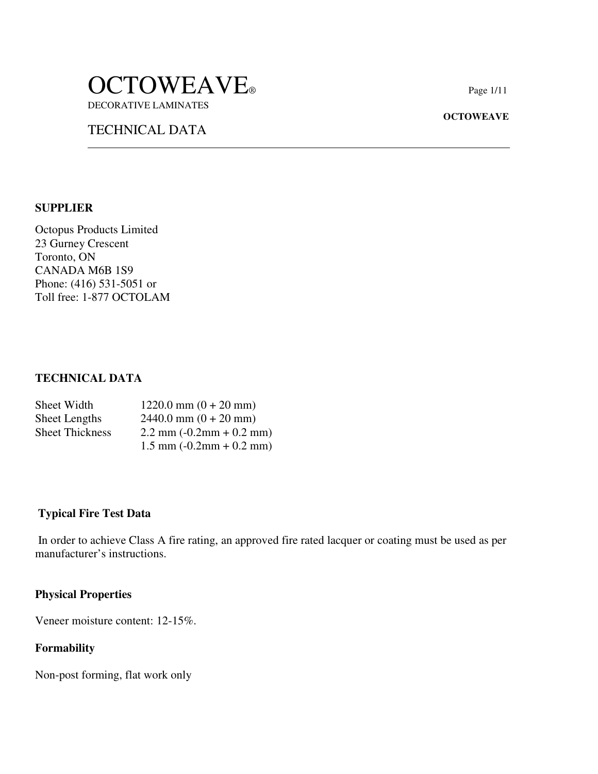# OCTOWEAVE<sup>®</sup> DECORATIVE LAMINATES

TECHNICAL DATA

#### **OCTOWEAVE**

#### **SUPPLIER**

Octopus Products Limited 23 Gurney Crescent Toronto, ON CANADA M6B 1S9 Phone: (416) 531-5051 or Toll free: 1-877 OCTOLAM

 $\ddot{\phantom{a}}$ 

### **TECHNICAL DATA**

| Sheet Width            | $1220.0$ mm $(0 + 20$ mm)                           |
|------------------------|-----------------------------------------------------|
| <b>Sheet Lengths</b>   | $2440.0$ mm $(0 + 20$ mm)                           |
| <b>Sheet Thickness</b> | $2.2 \text{ mm} (-0.2 \text{ mm} + 0.2 \text{ mm})$ |
|                        | $1.5$ mm $(-0.2$ mm $+ 0.2$ mm)                     |

#### **Typical Fire Test Data**

 In order to achieve Class A fire rating, an approved fire rated lacquer or coating must be used as per manufacturer's instructions.

#### **Physical Properties**

Veneer moisture content: 12-15%.

#### **Formability**

Non-post forming, flat work only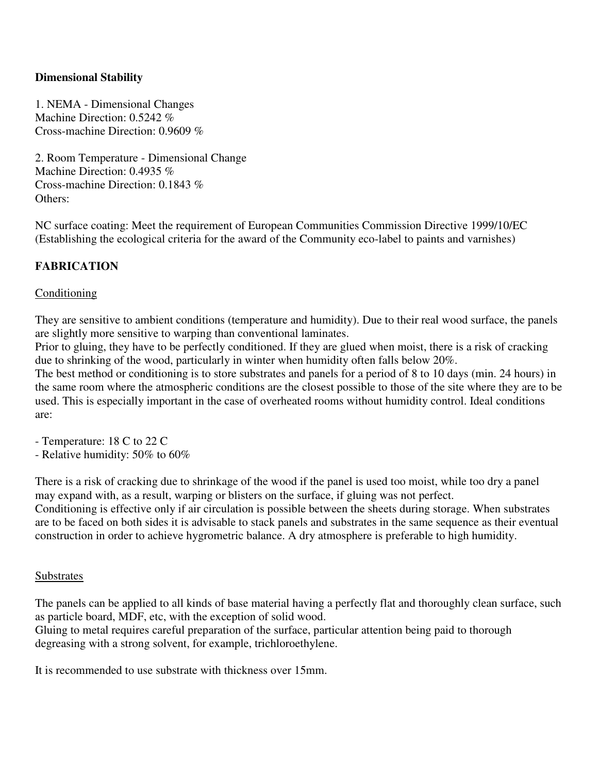### **Dimensional Stability**

1. NEMA - Dimensional Changes Machine Direction: 0.5242 % Cross-machine Direction: 0.9609 %

2. Room Temperature - Dimensional Change Machine Direction: 0.4935 % Cross-machine Direction: 0.1843 % Others:

NC surface coating: Meet the requirement of European Communities Commission Directive 1999/10/EC (Establishing the ecological criteria for the award of the Community eco-label to paints and varnishes)

### **FABRICATION**

#### **Conditioning**

They are sensitive to ambient conditions (temperature and humidity). Due to their real wood surface, the panels are slightly more sensitive to warping than conventional laminates.

Prior to gluing, they have to be perfectly conditioned. If they are glued when moist, there is a risk of cracking due to shrinking of the wood, particularly in winter when humidity often falls below 20%.

The best method or conditioning is to store substrates and panels for a period of 8 to 10 days (min. 24 hours) in the same room where the atmospheric conditions are the closest possible to those of the site where they are to be used. This is especially important in the case of overheated rooms without humidity control. Ideal conditions are:

- Temperature: 18 C to 22 C
- Relative humidity: 50% to 60%

There is a risk of cracking due to shrinkage of the wood if the panel is used too moist, while too dry a panel may expand with, as a result, warping or blisters on the surface, if gluing was not perfect. Conditioning is effective only if air circulation is possible between the sheets during storage. When substrates are to be faced on both sides it is advisable to stack panels and substrates in the same sequence as their eventual construction in order to achieve hygrometric balance. A dry atmosphere is preferable to high humidity.

#### Substrates

The panels can be applied to all kinds of base material having a perfectly flat and thoroughly clean surface, such as particle board, MDF, etc, with the exception of solid wood.

Gluing to metal requires careful preparation of the surface, particular attention being paid to thorough degreasing with a strong solvent, for example, trichloroethylene.

It is recommended to use substrate with thickness over 15mm.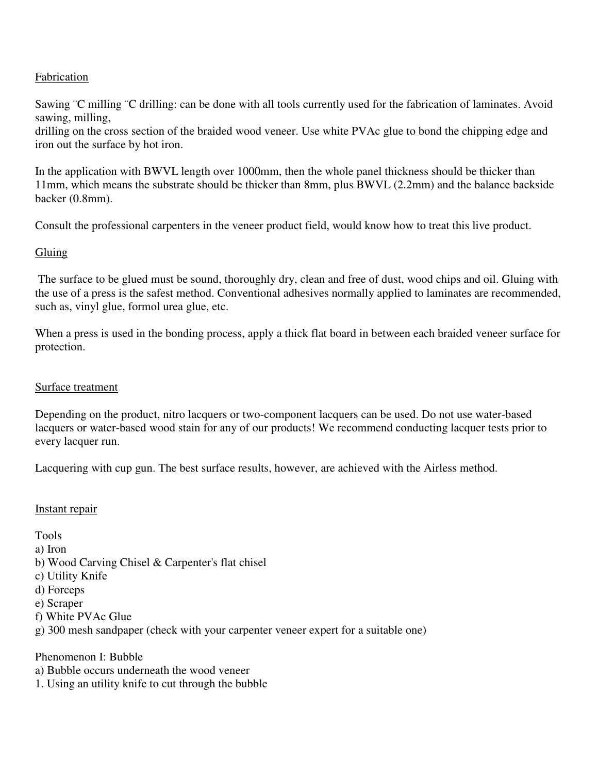#### Fabrication

Sawing ¨C milling ¨C drilling: can be done with all tools currently used for the fabrication of laminates. Avoid sawing, milling,

drilling on the cross section of the braided wood veneer. Use white PVAc glue to bond the chipping edge and iron out the surface by hot iron.

In the application with BWVL length over 1000mm, then the whole panel thickness should be thicker than 11mm, which means the substrate should be thicker than 8mm, plus BWVL (2.2mm) and the balance backside backer (0.8mm).

Consult the professional carpenters in the veneer product field, would know how to treat this live product.

#### **Gluing**

 The surface to be glued must be sound, thoroughly dry, clean and free of dust, wood chips and oil. Gluing with the use of a press is the safest method. Conventional adhesives normally applied to laminates are recommended, such as, vinyl glue, formol urea glue, etc.

When a press is used in the bonding process, apply a thick flat board in between each braided veneer surface for protection.

#### Surface treatment

Depending on the product, nitro lacquers or two-component lacquers can be used. Do not use water-based lacquers or water-based wood stain for any of our products! We recommend conducting lacquer tests prior to every lacquer run.

Lacquering with cup gun. The best surface results, however, are achieved with the Airless method.

#### Instant repair

Tools a) Iron b) Wood Carving Chisel & Carpenter's flat chisel c) Utility Knife d) Forceps e) Scraper f) White PVAc Glue g) 300 mesh sandpaper (check with your carpenter veneer expert for a suitable one) Phenomenon I: Bubble

- a) Bubble occurs underneath the wood veneer
- 1. Using an utility knife to cut through the bubble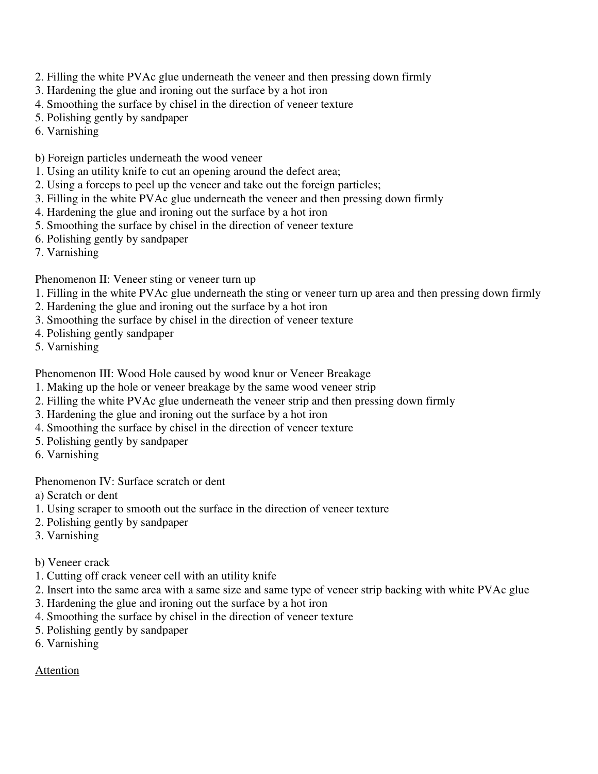- 2. Filling the white PVAc glue underneath the veneer and then pressing down firmly
- 3. Hardening the glue and ironing out the surface by a hot iron
- 4. Smoothing the surface by chisel in the direction of veneer texture
- 5. Polishing gently by sandpaper
- 6. Varnishing
- b) Foreign particles underneath the wood veneer
- 1. Using an utility knife to cut an opening around the defect area;
- 2. Using a forceps to peel up the veneer and take out the foreign particles;
- 3. Filling in the white PVAc glue underneath the veneer and then pressing down firmly
- 4. Hardening the glue and ironing out the surface by a hot iron
- 5. Smoothing the surface by chisel in the direction of veneer texture
- 6. Polishing gently by sandpaper
- 7. Varnishing

Phenomenon II: Veneer sting or veneer turn up

- 1. Filling in the white PVAc glue underneath the sting or veneer turn up area and then pressing down firmly
- 2. Hardening the glue and ironing out the surface by a hot iron
- 3. Smoothing the surface by chisel in the direction of veneer texture
- 4. Polishing gently sandpaper
- 5. Varnishing

Phenomenon III: Wood Hole caused by wood knur or Veneer Breakage

- 1. Making up the hole or veneer breakage by the same wood veneer strip
- 2. Filling the white PVAc glue underneath the veneer strip and then pressing down firmly
- 3. Hardening the glue and ironing out the surface by a hot iron
- 4. Smoothing the surface by chisel in the direction of veneer texture
- 5. Polishing gently by sandpaper
- 6. Varnishing

Phenomenon IV: Surface scratch or dent

- a) Scratch or dent
- 1. Using scraper to smooth out the surface in the direction of veneer texture
- 2. Polishing gently by sandpaper
- 3. Varnishing
- b) Veneer crack
- 1. Cutting off crack veneer cell with an utility knife
- 2. Insert into the same area with a same size and same type of veneer strip backing with white PVAc glue
- 3. Hardening the glue and ironing out the surface by a hot iron
- 4. Smoothing the surface by chisel in the direction of veneer texture
- 5. Polishing gently by sandpaper
- 6. Varnishing

## Attention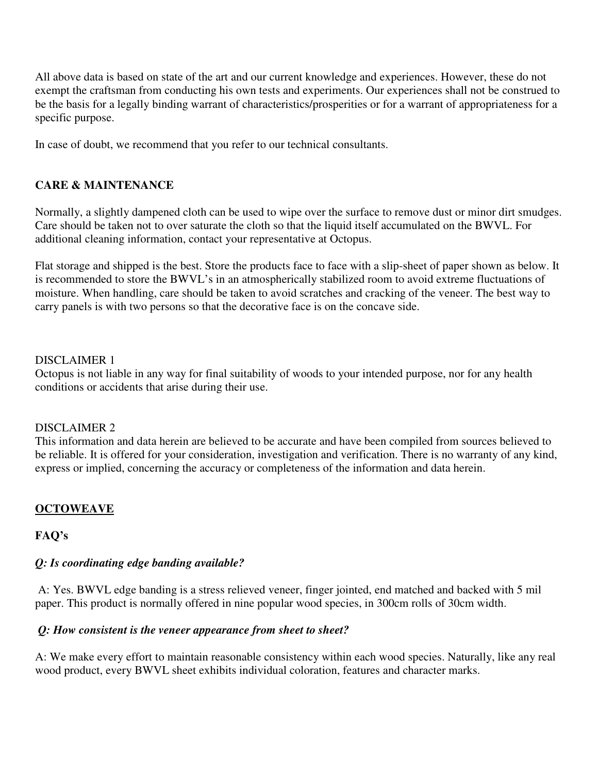All above data is based on state of the art and our current knowledge and experiences. However, these do not exempt the craftsman from conducting his own tests and experiments. Our experiences shall not be construed to be the basis for a legally binding warrant of characteristics/prosperities or for a warrant of appropriateness for a specific purpose.

In case of doubt, we recommend that you refer to our technical consultants.

### **CARE & MAINTENANCE**

Normally, a slightly dampened cloth can be used to wipe over the surface to remove dust or minor dirt smudges. Care should be taken not to over saturate the cloth so that the liquid itself accumulated on the BWVL. For additional cleaning information, contact your representative at Octopus.

Flat storage and shipped is the best. Store the products face to face with a slip-sheet of paper shown as below. It is recommended to store the BWVL's in an atmospherically stabilized room to avoid extreme fluctuations of moisture. When handling, care should be taken to avoid scratches and cracking of the veneer. The best way to carry panels is with two persons so that the decorative face is on the concave side.

#### DISCLAIMER 1

Octopus is not liable in any way for final suitability of woods to your intended purpose, nor for any health conditions or accidents that arise during their use.

#### DISCLAIMER 2

This information and data herein are believed to be accurate and have been compiled from sources believed to be reliable. It is offered for your consideration, investigation and verification. There is no warranty of any kind, express or implied, concerning the accuracy or completeness of the information and data herein.

### **OCTOWEAVE**

### **FAQ's**

### *Q: Is coordinating edge banding available?*

 A: Yes. BWVL edge banding is a stress relieved veneer, finger jointed, end matched and backed with 5 mil paper. This product is normally offered in nine popular wood species, in 300cm rolls of 30cm width.

### *Q: How consistent is the veneer appearance from sheet to sheet?*

A: We make every effort to maintain reasonable consistency within each wood species. Naturally, like any real wood product, every BWVL sheet exhibits individual coloration, features and character marks.